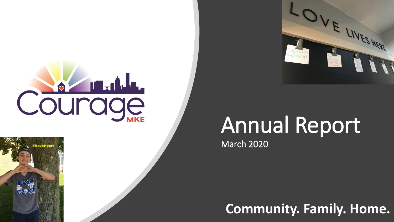



**Community. Family. Home.**

IVES HERE

Ramomper to<br>The Pund to<br>Expouse per

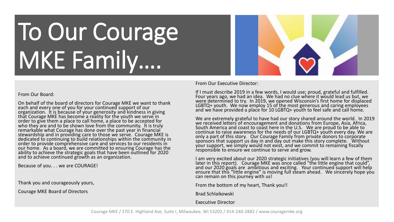# To Our Courage MKE Family….

#### From Our Board:

On behalf of the board of directors for Courage MKE we want to thank each and every one of you for your continued support of our organization. It is because of your generosity and kindness in giving that Courage MKE has become a reality for the youth we serve in order to give them a place to call home, a place to be accepted for who they are and to be shown love from the community. It is truly remarkable what Courage has done over the past year in financial stewardship and in providing care to those we serve. Courage MKE is dedicated to continuing to build relationships within the community in order to provide comprehensive care and services to our residents in our home. As a board, we are committed to ensuring Courage has the ability to achieve the strategic goals that have been outlined for 2020 and to achieve continued growth as an organization.

Because of you. . . we are COURAGE!

Thank you and courageously yours,

Courage MKE Board of Directors

From Our Executive Director:

If I must describe 2019 in a few words, I would use; proud, grateful and fulfilled. Four years ago, we had an idea. We had no clue where it would lead us but, we were determined to try. In 2019, we opened Wisconsin's first home for displaced LGBTQ $+$  youth. We now employ 15 of the most generous and caring employees and we have provided a place for 10 LGBTQ+ youth to feel safe and call home.

We are extremely grateful to have had our story shared around the world. In 2019 we received letters of encouragement and donations from Europe, Asia, Africa, South America and coast to coast here in the U.S. We are proud to be able to continue to raise awareness for the needs of our LGBTQ+ youth every day. We are only a part of this story. Our Courage Family from private donors to corporate sponsors that support us day in and day out make this story complete. Without your support, we simply would not exist, and we commit to remaining fiscally responsible to ensure we continue to serve and grow.

I am very excited about our 2020 strategic initiatives (you will learn a few of them later in this report). Courage MKE was once called "the little engine that could", and our 2020 goals are ambitious and exciting. Your continued support will help ensure that this "little engine" is moving full steam ahead. We sincerely hope you can remain on this journey with us!

From the bottom of my heart, Thank you!!

Brad Schlaikowski

Executive Director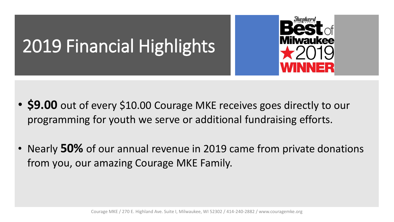### 2019 Financial Highlights



- **\$9.00** out of every \$10.00 Courage MKE receives goes directly to our programming for youth we serve or additional fundraising efforts.
- Nearly **50%** of our annual revenue in 2019 came from private donations from you, our amazing Courage MKE Family.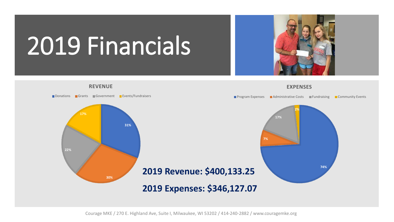# 2019 Financials





Courage MKE / 270 E. Highland Ave, Suite I, Milwaukee, WI 53202 / 414-240-2882 / www.couragemke.org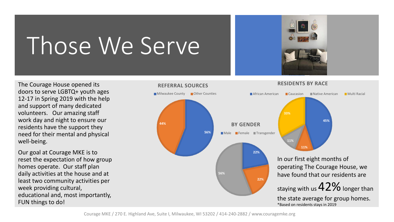## Those We Serve

The Courage House opened its doors to serve LGBTQ+ youth ages 12-17 in Spring 2019 with the help and support of many dedicated volunteers. Our amazing staff work day and night to ensure our residents have the support they need for their mental and physical well-being.

Our goal at Courage MKE is to reset the expectation of how group homes operate. Our staff plan daily activities at the house and at least two community activities per week providing cultural, educational and, most importantly, FUN things to do!



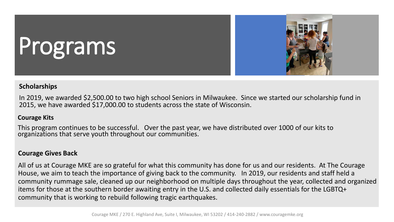# Programs



#### **Scholarships**

In 2019, we awarded \$2,500.00 to two high school Seniors in Milwaukee. Since we started our scholarship fund in 2015, we have awarded \$17,000.00 to students across the state of Wisconsin.

### **Courage Kits**

This program continues to be successful. Over the past year, we have distributed over 1000 of our kits to organizations that serve youth throughout our communities.

### **Courage Gives Back**

All of us at Courage MKE are so grateful for what this community has done for us and our residents. At The Courage House, we aim to teach the importance of giving back to the community. In 2019, our residents and staff held a community rummage sale, cleaned up our neighborhood on multiple days throughout the year, collected and organized items for those at the southern border awaiting entry in the U.S. and collected daily essentials for the LGBTQ+ community that is working to rebuild following tragic earthquakes.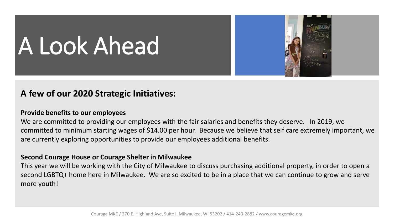# A Look Ahead

### **A few of our 2020 Strategic Initiatives:**

#### **Provide benefits to our employees**

We are committed to providing our employees with the fair salaries and benefits they deserve. In 2019, we committed to minimum starting wages of \$14.00 per hour. Because we believe that self care extremely important, we are currently exploring opportunities to provide our employees additional benefits.

#### **Second Courage House or Courage Shelter in Milwaukee**

This year we will be working with the City of Milwaukee to discuss purchasing additional property, in order to open a second LGBTQ+ home here in Milwaukee. We are so excited to be in a place that we can continue to grow and serve more youth!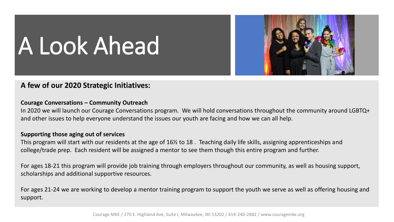

# A Look Ahead

### **A few of our 2020 Strategic Initiatives:**

#### **Courage Conversations – Community Outreach**

In 2020 we will launch our Courage Conversations program. We will hold conversations throughout the community around LGBTQ+ and other issues to help everyone understand the issues our youth are facing and how we can all help.

#### **Supporting those aging out of services**

This program will start with our residents at the age of 16½ to 18 . Teaching daily life skills, assigning apprenticeships and college/trade prep. Each resident will be assigned a mentor to see them though this entire program and further.

For ages 18-21 this program will provide job training through employers throughout our community, as well as housing support, scholarships and additional supportive resources.

For ages 21-24 we are working to develop a mentor training program to support the youth we serve as well as offering housing and support.